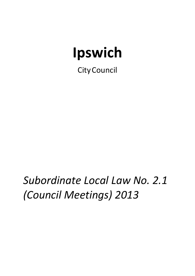# **Ipswich**

CityCouncil

*Subordinate Local Law No. 2.1 (Council Meetings) 2013*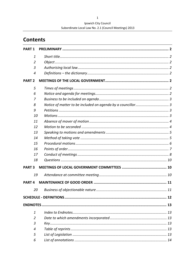## Ipswich City Council Subordinate Local Law No. 2.1 (Council Meetings) 2013

# **Contents**

| <b>PART 1</b>  |  |
|----------------|--|
| $\mathbf{1}$   |  |
| $\overline{2}$ |  |
| 3              |  |
| $\overline{4}$ |  |
| <b>PART 2</b>  |  |
| 5              |  |
| 6              |  |
| 7              |  |
| 8              |  |
| 9              |  |
| 10             |  |
| 11             |  |
| 12             |  |
| 13             |  |
| 14             |  |
| 15             |  |
| 16             |  |
| 17             |  |
| 18             |  |
| <b>PART 3</b>  |  |
| 19             |  |
| <b>PART4</b>   |  |
| 20             |  |
|                |  |
|                |  |
| $\mathbf{1}$   |  |
| $\overline{2}$ |  |
| 3              |  |
| 4              |  |
| 5              |  |
| 6              |  |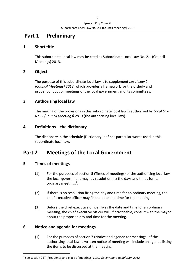# **Part 1 Preliminary**

#### **1 Short title**

This subordinate local law may be cited as Subordinate Local Law No. 2.1 (Council Meetings) 2013.

## **2 Object**

The purpose of this subordinate local law is to supplement *Local Law 2 (Council Meetings) 2013*, which provides a framework for the orderly and proper conduct of meetings of the local government and its committees.

#### **3 Authorising local law**

The making of the provisions in this subordinate local law is authorised by *Local Law No. 2 (Council Meetings) 2013* (the authorising local law).

#### **4 Definitions – the dictionary**

The dictionary in the schedule (Dictionary) defines particular words used in this subordinate local law.

# **Part 2 Meetings of the Local Government**

## **5 Times of meetings**

- (1) For the purposes of section 5 (Times of meetings) of the authorising local law the local government may, by resolution, fix the days and times for its ordinary meetings<sup>1</sup>.
	- (2) If there is no resolution fixing the day and time for an ordinary meeting, the chief executive officer may fix the date and time for the meeting.
	- (3) Before the chief executive officer fixes the date and time for an ordinary meeting, the chief executive officer will, if practicable, consult with the mayor about the proposed day and time for the meeting.

#### **6 Notice and agenda for meetings**

(1) For the purposes of section 7 (Notice and agenda for meetings) of the authorising local law, a written notice of meeting will include an agenda listing the items to be discussed at the meeting.

**<sup>1</sup>** See section 257 (Frequency and place of meetings) *Local Government Regulation 2012*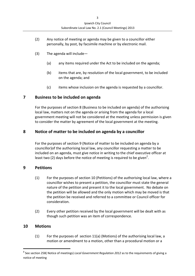- (2) Any notice of meeting or agenda may be given to a councillor either personally, by post, by facsimile machine or by electronic mail.
- (3) The agenda will include—
	- (a) any items required under the Act to be included on the agenda;
	- (b) items that are, by resolution of the local government, to be included on the agenda; and
	- (c) items whose inclusion on the agenda is requested by a councillor.

#### **7 Business to be included on agenda**

For the purposes of section 8 (Business to be included on agenda) of the authorising local law, matters not on the agenda or arising from the agenda for a local government meeting will not be considered at the meeting unless permission is given to consider the matter by agreement of the local government at the meeting.

#### **8 Notice of matter to be included on agenda by a councillor**

For the purposes of section 9 (Notice of matter to be included on agenda by a councillor)of the authorising local law, any councillor requesting a matter to be included on an agenda, must give notice in writing to the chief executive officer at least two (2) days before the notice of meeting is required to be given<sup>2</sup>.

#### **9 Petitions**

- (1) For the purposes of section 10 (Petitions) of the authorising local law, where a councillor wishes to present a petition, the councillor must state the general nature of the petition and present it to the local government. No debate on the petition will be allowed and the only motion which may be moved is that the petition be received and referred to a committee or Council officer for consideration.
- (2) Every other petition received by the local government will be dealt with as though such petition was an item of correspondence.

#### **10 Motions**

(1) For the purposes of section 11(a) (Motions) of the authorising local law, a motion or amendment to a motion, other than a procedural motion or a

**<sup>2</sup>** See section 258( Notice of meetings) *Local Government Regulation 2012* as to the requirements of giving a notice of meeting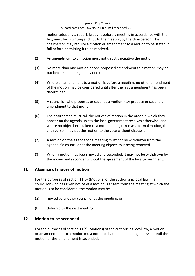motion adopting a report, brought before a meeting in accordance with the Act, must be in writing and put to the meeting by the chairperson. The chairperson may require a motion or amendment to a motion to be stated in full before permitting it to be received.

- (2) An amendment to a motion must not directly negative the motion.
- (3) No more than one motion or one proposed amendment to a motion may be put before a meeting at any one time.
- (4) Where an amendment to a motion is before a meeting, no other amendment of the motion may be considered until after the first amendment has been determined.
- (5) A councillor who proposes or seconds a motion may propose or second an amendment to that motion.
- (6) The chairperson must call the notices of motion in the order in which they appear on the agenda unless the local government resolves otherwise, and where no objection is taken to a motion being taken as a formal motion, the chairperson may put the motion to the vote without discussion.
- (7) A motion on the agenda for a meeting must not be withdrawn from the agenda if a councillor at the meeting objects to it being removed.
- (8) When a motion has been moved and seconded, it may not be withdrawn by the mover and seconder without the agreement of the local government.

#### **11 Absence of mover of motion**

For the purposes of section 11(b) (Motions) of the authorising local law, if a councillor who has given notice of a motion is absent from the meeting at which the motion is to be considered, the motion may be—

- (a) moved by another councillor at the meeting; or
- (b) deferred to the next meeting.

#### **12 Motion to be seconded**

For the purposes of section 11(c) (Motions) of the authorising local law, a motion or an amendment to a motion must not be debated at a meeting unless or until the motion or the amendment is seconded.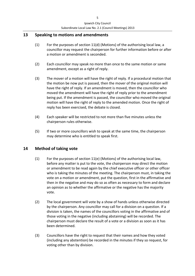#### **13 Speaking to motions and amendments**

- (1) For the purposes of section 11(d) (Motions) of the authorising local law, a councillor may request the chairperson for further information before or after a motion or amendment is seconded.
- (2) Each councillor may speak no more than once to the same motion or same amendment, except as a right of reply.
- (3) The mover of a motion will have the right of reply. If a procedural motion that the motion be now put is passed, then the mover of the original motion will have the right of reply. If an amendment is moved, then the councillor who moved the amendment will have the right of reply prior to the amendment being put. If the amendment is passed, the councillor who moved the original motion will have the right of reply to the amended motion. Once the right of reply has been exercised, the debate is closed.
- (4) Each speaker will be restricted to not more than five minutes unless the chairperson rules otherwise.
- (5) If two or more councillors wish to speak at the same time, the chairperson may determine who is entitled to speak first.

#### **14 Method of taking vote**

- (1) For the purposes of section 11(e) (Motions) of the authorising local law, before any matter is put to the vote, the chairperson may direct the motion or amendment to be read again by the chief executive officer or other officer who is taking the minutes of the meeting. The chairperson must, in taking the vote on a motion or amendment, put the question, first in the affirmative and then in the negative and may do so as often as necessary to form and declare an opinion as to whether the affirmative or the negative has the majority vote.
- (2) The local government will vote by a show of hands unless otherwise directed by the chairperson. Any councillor may call for a division on a question. If a division is taken, the names of the councillors voting in the affirmative and of those voting in the negative (including abstaining) will be recorded. The chairperson must declare the result of a vote or a division as soon as it has been determined.
- (3) Councillors have the right to request that their names and how they voted (including any abstention) be recorded in the minutes if they so request, for voting other than by division.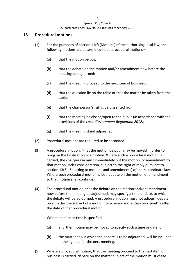#### **15 Procedural motions**

- (1) For the purposes of section  $11(f)$  (Motions) of the authorising local law, the following motions are determined to be procedural motions—
	- (a) that the motion be put;
	- (b) that the debate on the motion and/or amendment now before the meeting be adjourned;
	- (c) that the meeting proceed to the next item of business;
	- (d) that the question lie on the table or that the matter be taken from the table;
	- (e) that the chairperson's ruling be dissented from;
	- (f) that the meeting be closed/open to the public (in accordance with the provisions of the *Local Government Regulation 2012)*;
	- (g) that the meeting stand adjourned.
- (2) Procedural motions are required to be seconded.
- (3) A procedural motion, "that the motion be put", may be moved in order to bring on the finalisation of a motion. Where such a procedural motion is carried, the chairperson must immediately put the motion, or amendment to that motion under consideration, subject to the right of reply pursuant to section 13(3) (Speaking to motions and amendments) of this subordinate law. Where such procedural motion is lost, debate on the motion or amendment to that motion shall continue.
- (4) The procedural motion, that the debate on the motion and/or amendment now before the meeting be adjourned, may specify a time or date, to which the debate will be adjourned. A procedural motion must not adjourn debate on a matter the subject of a motion for a period more than two months after the date of that procedural motion.

Where no date or time is specified—

- (a) a further motion may be moved to specify such a time or date; or
- (b) the matter about which the debate is to be adjourned, will be included in the agenda for the next meeting.
- (5) Where a procedural motion, that the meeting proceed to the next item of business is carried, debate on the matter subject of the motion must cease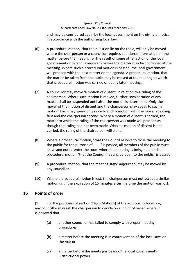and may be considered again by the local government on the giving of notice in accordance with the authorising local law.

- (6) A procedural motion, that the question lie on the table, will only be moved where the chairperson or a councillor requires additional information on the matter before the meeting (or the result of some other action of the local government or person is required) before the matter may be concluded at the meeting. Where such a procedural motion is passed, the local government will proceed with the next matter on the agenda. A procedural motion, that the matter be taken from the table, may be moved at the meeting at which that procedural motion was carried or at any later meeting.
- (7) A councillor may move 'a motion of dissent' in relation to a ruling of the chairperson. Where such motion is moved, further consideration of any matter shall be suspended until after the motion is determined. Only the mover of the motion of dissent and the chairperson may speak to such a motion. Each may speak only once to such a motion with the mover speaking first and the chairperson second. Where a motion of dissent is carried, the matter to which the ruling of the chairperson was made will proceed as though that ruling had not been made. Where a motion of dissent is not carried, the ruling of the chairperson will stand.
- (8) Where a procedural motion, "that the Council resolve to close the meeting to the public for the purpose of ......." is passed, all members of the public must leave and not re‐enter the room where the meeting is being held until a procedural motion "that the Council meeting be open to the public" is passed.
- (9) A procedural motion, that the meeting stand adjourned, may be moved by any councillor.
- (10) Where a procedural motion is lost, the chairperson must not accept a similar motion until the expiration of 15 minutes after the time the motion was lost.

#### **16 Points of order**

(1) For the purposes of section 11(g) (Motions) of the authorising local law, any councillor may ask the chairperson to decide on a 'point of order' where it is believed that—

- (a) another councillor has failed to comply with proper meeting procedures;
- (b) a matter before the meeting is in contravention of the local laws or the Act; or
- (c) a matter before the meeting is beyond the local government's jurisdictional power.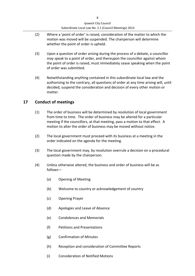- (2) Where a 'point of order' is raised, consideration of the matter to which the motion was moved will be suspended. The chairperson will determine whether the point of order is upheld.
- (3) Upon a question of order arising during the process of a debate, a councillor may speak to a point of order, and thereupon the councillor against whom the point of order is raised, must immediately cease speaking when the point of order was submitted.
- (4) Notwithstanding anything contained in this subordinate local law and the authorising to the contrary, all questions of order at any time arising will, until decided, suspend the consideration and decision of every other motion or matter.

## **17 Conduct of meetings**

- (1) The order of business will be determined by resolution of local government from time to time. The order of business may be altered for a particular meeting if the councillors, at that meeting, pass a motion to that effect. A motion to alter the order of business may be moved without notice.
- (2) The local government must proceed with its business at a meeting in the order indicated on the agenda for the meeting.
- (3) The local government may, by resolution overrule a decision on a procedural question made by the chairperson.
- (4) Unless otherwise altered, the business and order of business will be as follows—
	- (a) Opening of Meeting
	- (b) Welcome to country or acknowledgement of country
	- (c) Opening Prayer
	- (d) Apologies and Leave of Absence
	- (e) Condolences and Memorials
	- (f) Petitions and Presentations
	- (g) Confirmation of Minutes
	- (h) Reception and consideration of Committee Reports
	- (i) Consideration of Notified Motions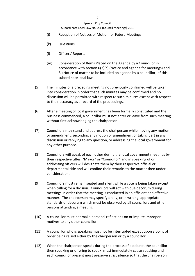- (j) Reception of Notices of Motion for Future Meetings
- (k) Questions
- (l) Officers' Reports
- (m) Consideration of Items Placed on the Agenda by a Councillor in accordance with section 6(3)(c) (Notice and agenda for meetings) and 8 (Notice of matter to be included on agenda by a councillor) of this subordinate local law.
- (5) The minutes of a preceding meeting not previously confirmed will be taken into consideration in order that such minutes may be confirmed and no discussion will be permitted with respect to such minutes except with respect to their accuracy as a record of the proceedings.
- (6) After a meeting of local government has been formally constituted and the business commenced, a councillor must not enter or leave from such meeting without first acknowledging the chairperson.
- (7) Councillors may stand and address the chairperson while moving any motion or amendment, seconding any motion or amendment or taking part in any discussion or replying to any question, or addressing the local government for any other purpose.
- (8) Councillors will speak of each other during the local government meetings by their respective titles, "Mayor" or "Councillor" and in speaking of or addressing officers will designate them by their respective official or departmental title and will confine their remarks to the matter then under consideration.
- (9) Councillors must remain seated and silent while a vote is being taken except when calling for a division. Councillors will act with due decorum during meetings in order that the meeting is conducted in an efficient and effective manner. The chairperson may specify orally, or in writing, appropriate standards of decorum which must be observed by all councillors and other persons attending a meeting.
- (10) A councillor must not make personal reflections on or impute improper motives to any other councillor.
- (11) A councillor who is speaking must not be interrupted except upon a point of order being raised either by the chairperson or by a councillor.
- (12) When the chairperson speaks during the process of a debate, the councillor then speaking or offering to speak, must immediately cease speaking and each councillor present must preserve strict silence so that the chairperson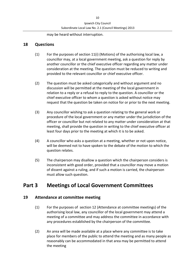may be heard without interruption.

#### **18 Ques**t**ions**

- (1) For the purposes of section 11(i) (Motions) of the authorising local law, a councillor may, at a local government meeting, ask a question for reply by another councillor or the chief executive officer regarding any matter under consideration at the meeting. The question must be reduced to writing and provided to the relevant councillor or chief executive officer.
- (2) The question must be asked categorically and without argument and no discussion will be permitted at the meeting of the local government in relation to a reply or a refusal to reply to the question. A councillor or the chief executive officer to whom a question is asked without notice may request that the question be taken on notice for or prior to the next meeting.
- (3) Any councillor wishing to ask a question relating to the general work or procedure of the local government or any matter under the jurisdiction of the officer or councillor but not related to any matter under consideration at that meeting, shall provide the question in writing to the chief executive officer at least four days prior to the meeting at which it is to be asked.
- (4) A councillor who asks a question at a meeting, whether or not upon notice, will be deemed not to have spoken to the debate of the motion to which the question relates.
- (5) The chairperson may disallow a question which the chairperson considers is inconsistent with good order, provided that a councillor may move a motion of dissent against a ruling, and if such a motion is carried, the chairperson must allow such question.

# **Part 3 Meetings of Local Government Committees**

#### **19 Attendance at committee meeting**

- (1) For the purposes of section 12 (Attendance at committee meetings) of the authorising local law, any councillor of the local government may attend a meeting of a committee and may address the committee in accordance with any procedures established by the chairperson of the committee.
- (2) An area will be made available at a place where any committee is to take place for members of the public to attend the meeting and as many people as reasonably can be accommodated in that area may be permitted to attend the meeting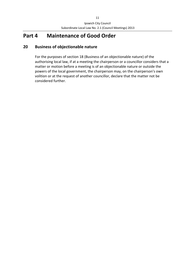# **Part 4 Maintenance of Good Order**

## **20 Business of objectionable nature**

For the purposes of section 18 (Business of an objectionable nature) of the authorising local law, if at a meeting the chairperson or a councillor considers that a matter or motion before a meeting is of an objectionable nature or outside the powers of the local government, the chairperson may, on the chairperson's own volition or at the request of another councillor, declare that the matter not be considered further.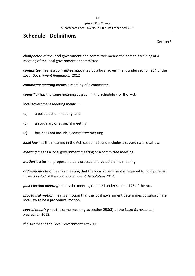# **Schedule ‐ Definitions**

Section 3

*chairperson* of the local government or a committee means the person presiding at a meeting of the local government or committee.

*committee* means a committee appointed by a local government under section 264 of the *Local Government Regulation* 2012

*committee meeting* means a meeting of a committee.

*councillor* has the same meaning as given in the Schedule 4 of the Act.

local government meeting means—

- (a) a post election meeting; and
- (b) an ordinary or a special meeting;
- (c) but does not include a committee meeting.

*local law* has the meaning in the Act, section 26, and includes a subordinate local law.

*meeting* means a local government meeting or a committee meeting.

*motion* is a formal proposal to be discussed and voted on in a meeting.

*ordinary meeting* means a meeting that the local government is required to hold pursuant to section 257 of the *Local Government Regulation* 2012.

*post election meeting* means the meeting required under section 175 of the Act.

*procedural motion* means a motion that the local government determines by subordinate local law to be a procedural motion.

*special meeting* has the same meaning as section 258(3) of the *Local Government Regulation* 2012.

*the Act* means the Local Government Act 2009.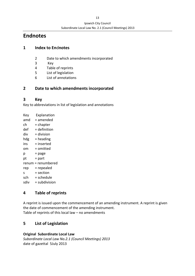# **Endnotes**

#### **1 Index to En**d**notes**

- 2 Date to which amendments incorporated
- 3 Key
- 4 Table of reprints
- 5 List of legislation
- 6 List of annotations

## **2 Date to which amendments incorporated**

#### **3 Key**

Key to abbreviations in list of legislation and annotations

Key Explanation  $amd = amended$  $ch = **ch**$  $def = definition$  $div = division$  $hdg =$  heading  $ins = inserted$ om = omitted  $p = page$  $pt = part$ renum = renumbered rep = repealed  $s = section$  $sch = schedule$  $sdiv = subdivision$ 

## **4 Table of reprints**

A reprint is issued upon the commencement of an amending instrument. A reprint is given the date of commencement of the amending instrument. Table of reprints of this local law – no amendments

## **5 List of Legislation**

**Original Subordinate Local Law**

*Subordinate Local Law No.2.1 (Council Meetings) 2013* date of gazettal 5July 2013